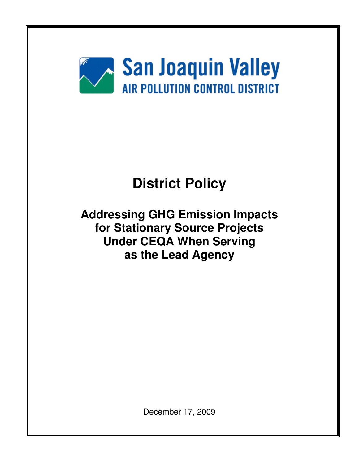

# **District Policy**

**Addressing GHG Emission Impacts for Stationary Source Projects Under CEQA When Serving as the Lead Agency** 

December 17, 2009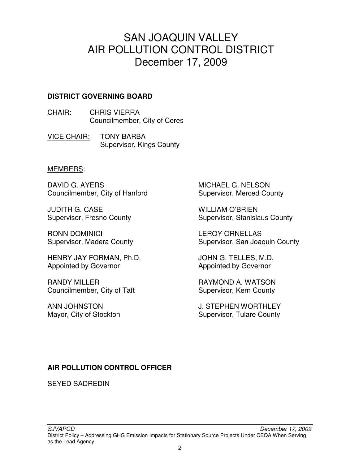### SAN JOAQUIN VALLEY AIR POLLUTION CONTROL DISTRICT December 17, 2009

#### **DISTRICT GOVERNING BOARD**

CHAIR: CHRIS VIERRA Councilmember, City of Ceres

VICE CHAIR: TONY BARBA Supervisor, Kings County

#### MEMBERS:

DAVID G. AYERS Councilmember, City of Hanford

JUDITH G. CASE Supervisor, Fresno County

RONN DOMINICI Supervisor, Madera County

HENRY JAY FORMAN, Ph.D. Appointed by Governor

RANDY MILLER Councilmember, City of Taft

ANN JOHNSTON Mayor, City of Stockton

MICHAEL G. NELSON Supervisor, Merced County

WILLIAM O'BRIEN Supervisor, Stanislaus County

LEROY ORNELLAS Supervisor, San Joaquin County

JOHN G. TELLES, M.D. Appointed by Governor

RAYMOND A. WATSON Supervisor, Kern County

J. STEPHEN WORTHLEY Supervisor, Tulare County

#### **AIR POLLUTION CONTROL OFFICER**

SEYED SADREDIN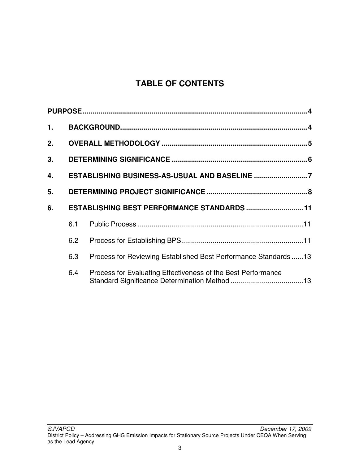### **TABLE OF CONTENTS**

| 1. |     |                                                                |  |
|----|-----|----------------------------------------------------------------|--|
| 2. |     |                                                                |  |
| 3. |     |                                                                |  |
| 4. |     |                                                                |  |
| 5. |     |                                                                |  |
| 6. |     | ESTABLISHING BEST PERFORMANCE STANDARDS  11                    |  |
|    | 6.1 |                                                                |  |
|    | 6.2 |                                                                |  |
|    | 6.3 | Process for Reviewing Established Best Performance Standards13 |  |
|    | 6.4 | Process for Evaluating Effectiveness of the Best Performance   |  |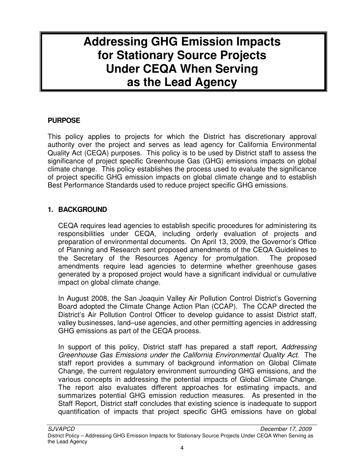## **Addressing GHG Emission Impacts for Stationary Source Projects Under CEQA When Serving as the Lead Agency**

#### **PURPOSE**

This policy applies to projects for which the District has discretionary approval authority over the project and serves as lead agency for California Environmental Quality Act (CEQA) purposes. This policy is to be used by District staff to assess the significance of project specific Greenhouse Gas (GHG) emissions impacts on global climate change. This policy establishes the process used to evaluate the significance of project specific GHG emission impacts on global climate change and to establish Best Performance Standards used to reduce project specific GHG emissions.

#### **1. BACKGROUND**

CEQA requires lead agencies to establish specific procedures for administering its responsibilities under CEQA, including orderly evaluation of projects and preparation of environmental documents. On April 13, 2009, the Governor's Office of Planning and Research sent proposed amendments of the CEQA Guidelines to the Secretary of the Resources Agency for promulgation. The proposed amendments require lead agencies to determine whether greenhouse gases generated by a proposed project would have a significant individual or cumulative impact on global climate change.

In August 2008, the San Joaquin Valley Air Pollution Control District's Governing Board adopted the Climate Change Action Plan (CCAP). The CCAP directed the District's Air Pollution Control Officer to develop guidance to assist District staff, valley businesses, land–use agencies, and other permitting agencies in addressing GHG emissions as part of the CEQA process.

In support of this policy, District staff has prepared a staff report, Addressing Greenhouse Gas Emissions under the California Environmental Quality Act. The staff report provides a summary of background information on Global Climate Change, the current regulatory environment surrounding GHG emissions, and the various concepts in addressing the potential impacts of Global Climate Change. The report also evaluates different approaches for estimating impacts, and summarizes potential GHG emission reduction measures. As presented in the Staff Report, District staff concludes that existing science is inadequate to support quantification of impacts that project specific GHG emissions have on global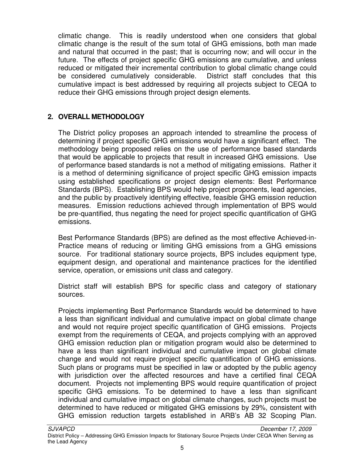climatic change. This is readily understood when one considers that global climatic change is the result of the sum total of GHG emissions, both man made and natural that occurred in the past; that is occurring now; and will occur in the future. The effects of project specific GHG emissions are cumulative, and unless reduced or mitigated their incremental contribution to global climatic change could be considered cumulatively considerable. District staff concludes that this cumulative impact is best addressed by requiring all projects subject to CEQA to reduce their GHG emissions through project design elements.

#### **2. OVERALL METHODOLOGY**

The District policy proposes an approach intended to streamline the process of determining if project specific GHG emissions would have a significant effect. The methodology being proposed relies on the use of performance based standards that would be applicable to projects that result in increased GHG emissions. Use of performance based standards is not a method of mitigating emissions. Rather it is a method of determining significance of project specific GHG emission impacts using established specifications or project design elements: Best Performance Standards (BPS). Establishing BPS would help project proponents, lead agencies, and the public by proactively identifying effective, feasible GHG emission reduction measures. Emission reductions achieved through implementation of BPS would be pre-quantified, thus negating the need for project specific quantification of GHG emissions.

Best Performance Standards (BPS) are defined as the most effective Achieved-in-Practice means of reducing or limiting GHG emissions from a GHG emissions source. For traditional stationary source projects, BPS includes equipment type, equipment design, and operational and maintenance practices for the identified service, operation, or emissions unit class and category.

District staff will establish BPS for specific class and category of stationary sources.

Projects implementing Best Performance Standards would be determined to have a less than significant individual and cumulative impact on global climate change and would not require project specific quantification of GHG emissions. Projects exempt from the requirements of CEQA, and projects complying with an approved GHG emission reduction plan or mitigation program would also be determined to have a less than significant individual and cumulative impact on global climate change and would not require project specific quantification of GHG emissions. Such plans or programs must be specified in law or adopted by the public agency with jurisdiction over the affected resources and have a certified final CEQA document. Projects not implementing BPS would require quantification of project specific GHG emissions. To be determined to have a less than significant individual and cumulative impact on global climate changes, such projects must be determined to have reduced or mitigated GHG emissions by 29%, consistent with GHG emission reduction targets established in ARB's AB 32 Scoping Plan.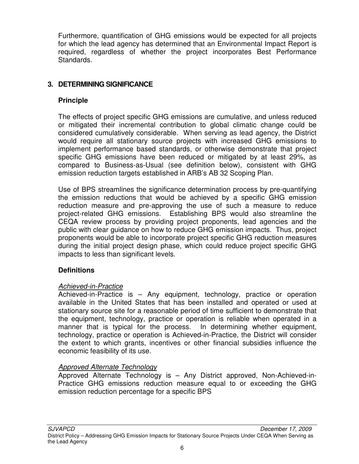Furthermore, quantification of GHG emissions would be expected for all projects for which the lead agency has determined that an Environmental Impact Report is required, regardless of whether the project incorporates Best Performance Standards.

#### **3. DETERMINING SIGNIFICANCE**

#### **Principle**

The effects of project specific GHG emissions are cumulative, and unless reduced or mitigated their incremental contribution to global climatic change could be considered cumulatively considerable. When serving as lead agency, the District would require all stationary source projects with increased GHG emissions to implement performance based standards, or otherwise demonstrate that project specific GHG emissions have been reduced or mitigated by at least 29%, as compared to Business-as-Usual (see definition below), consistent with GHG emission reduction targets established in ARB's AB 32 Scoping Plan.

Use of BPS streamlines the significance determination process by pre-quantifying the emission reductions that would be achieved by a specific GHG emission reduction measure and pre-approving the use of such a measure to reduce project-related GHG emissions. Establishing BPS would also streamline the CEQA review process by providing project proponents, lead agencies and the public with clear guidance on how to reduce GHG emission impacts. Thus, project proponents would be able to incorporate project specific GHG reduction measures during the initial project design phase, which could reduce project specific GHG impacts to less than significant levels.

#### **Definitions**

#### Achieved-in-Practice

Achieved-in-Practice is – Any equipment, technology, practice or operation available in the United States that has been installed and operated or used at stationary source site for a reasonable period of time sufficient to demonstrate that the equipment, technology, practice or operation is reliable when operated in a manner that is typical for the process. In determining whether equipment, technology, practice or operation is Achieved-in-Practice, the District will consider the extent to which grants, incentives or other financial subsidies influence the economic feasibility of its use.

#### Approved Alternate Technology

Approved Alternate Technology is – Any District approved, Non-Achieved-in-Practice GHG emissions reduction measure equal to or exceeding the GHG emission reduction percentage for a specific BPS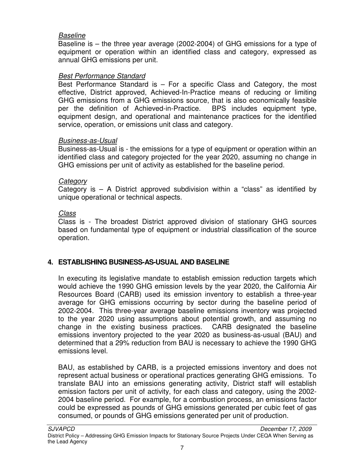#### Baseline

Baseline is – the three year average (2002-2004) of GHG emissions for a type of equipment or operation within an identified class and category, expressed as annual GHG emissions per unit.

#### Best Performance Standard

Best Performance Standard is  $-$  For a specific Class and Category, the most effective, District approved, Achieved-In-Practice means of reducing or limiting GHG emissions from a GHG emissions source, that is also economically feasible per the definition of Achieved-in-Practice. BPS includes equipment type, equipment design, and operational and maintenance practices for the identified service, operation, or emissions unit class and category.

#### Business-as-Usual

Business-as-Usual is - the emissions for a type of equipment or operation within an identified class and category projected for the year 2020, assuming no change in GHG emissions per unit of activity as established for the baseline period.

#### **Category**

Category is – A District approved subdivision within a "class" as identified by unique operational or technical aspects.

#### Class

Class is - The broadest District approved division of stationary GHG sources based on fundamental type of equipment or industrial classification of the source operation.

#### **4. ESTABLISHING BUSINESS-AS-USUAL AND BASELINE**

In executing its legislative mandate to establish emission reduction targets which would achieve the 1990 GHG emission levels by the year 2020, the California Air Resources Board (CARB) used its emission inventory to establish a three-year average for GHG emissions occurring by sector during the baseline period of 2002-2004. This three-year average baseline emissions inventory was projected to the year 2020 using assumptions about potential growth, and assuming no change in the existing business practices. CARB designated the baseline emissions inventory projected to the year 2020 as business-as-usual (BAU) and determined that a 29% reduction from BAU is necessary to achieve the 1990 GHG emissions level.

BAU, as established by CARB, is a projected emissions inventory and does not represent actual business or operational practices generating GHG emissions. To translate BAU into an emissions generating activity, District staff will establish emission factors per unit of activity, for each class and category, using the 2002- 2004 baseline period. For example, for a combustion process, an emissions factor could be expressed as pounds of GHG emissions generated per cubic feet of gas consumed, or pounds of GHG emissions generated per unit of production.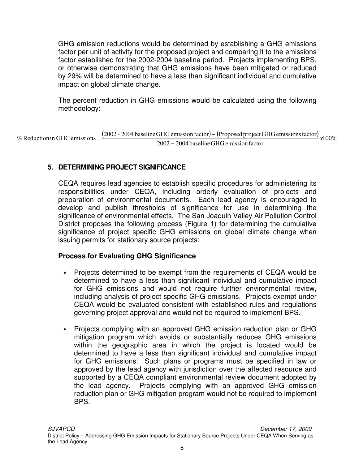GHG emission reductions would be determined by establishing a GHG emissions factor per unit of activity for the proposed project and comparing it to the emissions factor established for the 2002-2004 baseline period. Projects implementing BPS, or otherwise demonstrating that GHG emissions have been mitigated or reduced by 29% will be determined to have a less than significant individual and cumulative impact on global climate change.

The percent reduction in GHG emissions would be calculated using the following methodology:

% Reduction in GHG emissions =  $\frac{(2002 - 2004 \text{ baseline GHG emission factor}) - (Proposed project GHG emissions factor)}{2002 - 2004 \text{ baseline GHG emission factor}}$  x100% 2002 2004 baselineGHG emission factor −  $%$  Reduction in GHG emissions =

#### **5. DETERMINING PROJECT SIGNIFICANCE**

CEQA requires lead agencies to establish specific procedures for administering its responsibilities under CEQA, including orderly evaluation of projects and preparation of environmental documents. Each lead agency is encouraged to develop and publish thresholds of significance for use in determining the significance of environmental effects. The San Joaquin Valley Air Pollution Control District proposes the following process (Figure 1) for determining the cumulative significance of project specific GHG emissions on global climate change when issuing permits for stationary source projects:

#### **Process for Evaluating GHG Significance**

- Projects determined to be exempt from the requirements of CEQA would be determined to have a less than significant individual and cumulative impact for GHG emissions and would not require further environmental review, including analysis of project specific GHG emissions. Projects exempt under CEQA would be evaluated consistent with established rules and regulations governing project approval and would not be required to implement BPS.
- Projects complying with an approved GHG emission reduction plan or GHG mitigation program which avoids or substantially reduces GHG emissions within the geographic area in which the project is located would be determined to have a less than significant individual and cumulative impact for GHG emissions. Such plans or programs must be specified in law or approved by the lead agency with jurisdiction over the affected resource and supported by a CEQA compliant environmental review document adopted by the lead agency. Projects complying with an approved GHG emission reduction plan or GHG mitigation program would not be required to implement BPS.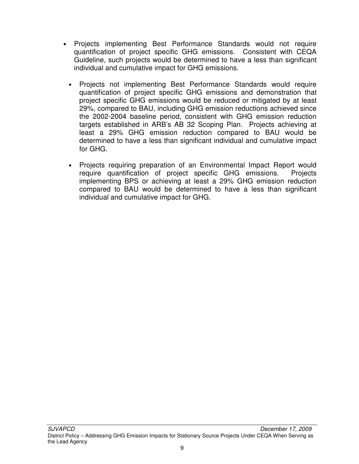- Projects implementing Best Performance Standards would not require quantification of project specific GHG emissions. Consistent with CEQA Guideline, such projects would be determined to have a less than significant individual and cumulative impact for GHG emissions.
	- Projects not implementing Best Performance Standards would require quantification of project specific GHG emissions and demonstration that project specific GHG emissions would be reduced or mitigated by at least 29%, compared to BAU, including GHG emission reductions achieved since the 2002-2004 baseline period, consistent with GHG emission reduction targets established in ARB's AB 32 Scoping Plan. Projects achieving at least a 29% GHG emission reduction compared to BAU would be determined to have a less than significant individual and cumulative impact for GHG.
	- Projects requiring preparation of an Environmental Impact Report would require quantification of project specific GHG emissions. Projects implementing BPS or achieving at least a 29% GHG emission reduction compared to BAU would be determined to have a less than significant individual and cumulative impact for GHG.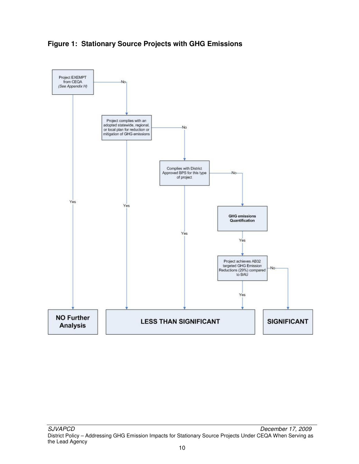

#### **Figure 1: Stationary Source Projects with GHG Emissions**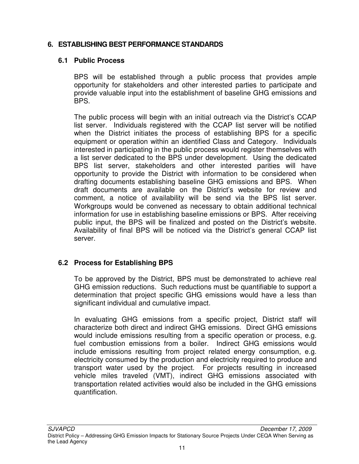#### **6. ESTABLISHING BEST PERFORMANCE STANDARDS**

#### **6.1 Public Process**

BPS will be established through a public process that provides ample opportunity for stakeholders and other interested parties to participate and provide valuable input into the establishment of baseline GHG emissions and BPS.

The public process will begin with an initial outreach via the District's CCAP list server. Individuals registered with the CCAP list server will be notified when the District initiates the process of establishing BPS for a specific equipment or operation within an identified Class and Category. Individuals interested in participating in the public process would register themselves with a list server dedicated to the BPS under development. Using the dedicated BPS list server, stakeholders and other interested parities will have opportunity to provide the District with information to be considered when drafting documents establishing baseline GHG emissions and BPS. When draft documents are available on the District's website for review and comment, a notice of availability will be send via the BPS list server. Workgroups would be convened as necessary to obtain additional technical information for use in establishing baseline emissions or BPS. After receiving public input, the BPS will be finalized and posted on the District's website. Availability of final BPS will be noticed via the District's general CCAP list server.

#### **6.2 Process for Establishing BPS**

To be approved by the District, BPS must be demonstrated to achieve real GHG emission reductions. Such reductions must be quantifiable to support a determination that project specific GHG emissions would have a less than significant individual and cumulative impact.

In evaluating GHG emissions from a specific project, District staff will characterize both direct and indirect GHG emissions. Direct GHG emissions would include emissions resulting from a specific operation or process, e.g. fuel combustion emissions from a boiler. Indirect GHG emissions would include emissions resulting from project related energy consumption, e.g. electricity consumed by the production and electricity required to produce and transport water used by the project. For projects resulting in increased vehicle miles traveled (VMT), indirect GHG emissions associated with transportation related activities would also be included in the GHG emissions quantification.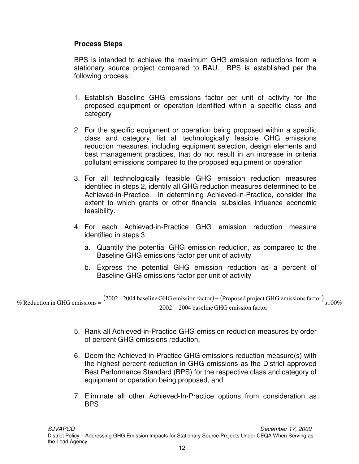#### **Process Steps**

BPS is intended to achieve the maximum GHG emission reductions from a stationary source project compared to BAU. BPS is established per the following process:

- 1. Establish Baseline GHG emissions factor per unit of activity for the proposed equipment or operation identified within a specific class and category
- 2. For the specific equipment or operation being proposed within a specific class and category, list all technologically feasible GHG emissions reduction measures, including equipment selection, design elements and best management practices, that do not result in an increase in criteria pollutant emissions compared to the proposed equipment or operation
- 3. For all technologically feasible GHG emission reduction measures identified in steps 2, identify all GHG reduction measures determined to be Achieved-in-Practice. In determining Achieved-in-Practice, consider the extent to which grants or other financial subsidies influence economic feasibility.
- 4. For each Achieved-in-Practice GHG emission reduction measure identified in steps 3:
	- a. Quantify the potential GHG emission reduction, as compared to the Baseline GHG emissions factor per unit of activity
	- b. Express the potential GHG emission reduction as a percent of Baseline GHG emissions factor per unit of activity

% Reduction in GHG emissions  $=\frac{(2002 - 2004 \text{ baseline GHG emission factor}) - (\text{Proposed project GHG emissions factor})}{2000 \text{ meters}} \times 100\%$ 2002 − 2004 baseline GHG emission factor  $%$  Reduction in GHG emissions =

- 5. Rank all Achieved-in-Practice GHG emission reduction measures by order of percent GHG emissions reduction,
- 6. Deem the Achieved-in-Practice GHG emissions reduction measure(s) with the highest percent reduction in GHG emissions as the District approved Best Performance Standard (BPS) for the respective class and category of equipment or operation being proposed, and
- 7. Eliminate all other Achieved-In-Practice options from consideration as BPS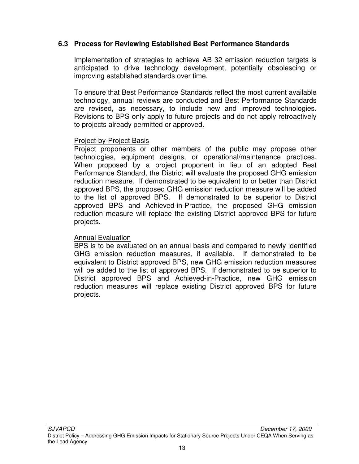#### **6.3 Process for Reviewing Established Best Performance Standards**

Implementation of strategies to achieve AB 32 emission reduction targets is anticipated to drive technology development, potentially obsolescing or improving established standards over time.

To ensure that Best Performance Standards reflect the most current available technology, annual reviews are conducted and Best Performance Standards are revised, as necessary, to include new and improved technologies. Revisions to BPS only apply to future projects and do not apply retroactively to projects already permitted or approved.

#### Project-by-Project Basis

Project proponents or other members of the public may propose other technologies, equipment designs, or operational/maintenance practices. When proposed by a project proponent in lieu of an adopted Best Performance Standard, the District will evaluate the proposed GHG emission reduction measure. If demonstrated to be equivalent to or better than District approved BPS, the proposed GHG emission reduction measure will be added to the list of approved BPS. If demonstrated to be superior to District approved BPS and Achieved-in-Practice, the proposed GHG emission reduction measure will replace the existing District approved BPS for future projects.

#### **Annual Evaluation**

BPS is to be evaluated on an annual basis and compared to newly identified GHG emission reduction measures, if available. If demonstrated to be equivalent to District approved BPS, new GHG emission reduction measures will be added to the list of approved BPS. If demonstrated to be superior to District approved BPS and Achieved-in-Practice, new GHG emission reduction measures will replace existing District approved BPS for future projects.